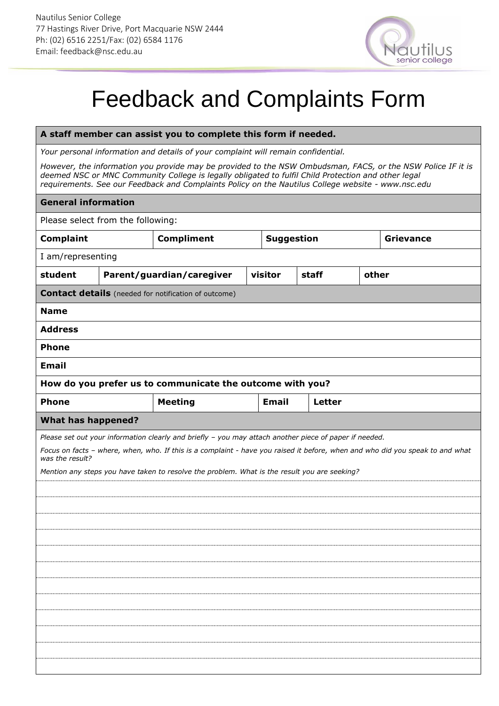

## Feedback and Complaints Form

## **A staff member can assist you to complete this form if needed.**

*Your personal information and details of your complaint will remain confidential.*

*However, the information you provide may be provided to the NSW Ombudsman, FACS, or the NSW Police IF it is deemed NSC or MNC Community College is legally obligated to fulfil Child Protection and other legal requirements. See our Feedback and Complaints Policy on the Nautilus College website - www.nsc.edu*

| <b>General information</b>                                                                                                                       |                           |                                                             |                   |               |  |                  |  |  |  |  |  |  |
|--------------------------------------------------------------------------------------------------------------------------------------------------|---------------------------|-------------------------------------------------------------|-------------------|---------------|--|------------------|--|--|--|--|--|--|
| Please select from the following:                                                                                                                |                           |                                                             |                   |               |  |                  |  |  |  |  |  |  |
| <b>Complaint</b>                                                                                                                                 |                           | <b>Compliment</b>                                           | <b>Suggestion</b> |               |  | <b>Grievance</b> |  |  |  |  |  |  |
| I am/representing                                                                                                                                |                           |                                                             |                   |               |  |                  |  |  |  |  |  |  |
| student                                                                                                                                          | Parent/guardian/caregiver |                                                             |                   | staff         |  | other            |  |  |  |  |  |  |
|                                                                                                                                                  |                           | <b>Contact details</b> (needed for notification of outcome) |                   |               |  |                  |  |  |  |  |  |  |
| <b>Name</b>                                                                                                                                      |                           |                                                             |                   |               |  |                  |  |  |  |  |  |  |
| <b>Address</b>                                                                                                                                   |                           |                                                             |                   |               |  |                  |  |  |  |  |  |  |
| <b>Phone</b>                                                                                                                                     |                           |                                                             |                   |               |  |                  |  |  |  |  |  |  |
| <b>Email</b>                                                                                                                                     |                           |                                                             |                   |               |  |                  |  |  |  |  |  |  |
| How do you prefer us to communicate the outcome with you?                                                                                        |                           |                                                             |                   |               |  |                  |  |  |  |  |  |  |
| <b>Phone</b>                                                                                                                                     |                           | <b>Meeting</b>                                              | <b>Email</b>      | <b>Letter</b> |  |                  |  |  |  |  |  |  |
| What has happened?                                                                                                                               |                           |                                                             |                   |               |  |                  |  |  |  |  |  |  |
| Please set out your information clearly and briefly - you may attach another piece of paper if needed.                                           |                           |                                                             |                   |               |  |                  |  |  |  |  |  |  |
| Focus on facts - where, when, who. If this is a complaint - have you raised it before, when and who did you speak to and what<br>was the result? |                           |                                                             |                   |               |  |                  |  |  |  |  |  |  |
| Mention any steps you have taken to resolve the problem. What is the result you are seeking?                                                     |                           |                                                             |                   |               |  |                  |  |  |  |  |  |  |
|                                                                                                                                                  |                           |                                                             |                   |               |  |                  |  |  |  |  |  |  |
|                                                                                                                                                  |                           |                                                             |                   |               |  |                  |  |  |  |  |  |  |
|                                                                                                                                                  |                           |                                                             |                   |               |  |                  |  |  |  |  |  |  |
|                                                                                                                                                  |                           |                                                             |                   |               |  |                  |  |  |  |  |  |  |
|                                                                                                                                                  |                           |                                                             |                   |               |  |                  |  |  |  |  |  |  |
|                                                                                                                                                  |                           |                                                             |                   |               |  |                  |  |  |  |  |  |  |
|                                                                                                                                                  |                           |                                                             |                   |               |  |                  |  |  |  |  |  |  |
|                                                                                                                                                  |                           |                                                             |                   |               |  |                  |  |  |  |  |  |  |
|                                                                                                                                                  |                           |                                                             |                   |               |  |                  |  |  |  |  |  |  |
|                                                                                                                                                  |                           |                                                             |                   |               |  |                  |  |  |  |  |  |  |
|                                                                                                                                                  |                           |                                                             |                   |               |  |                  |  |  |  |  |  |  |
|                                                                                                                                                  |                           |                                                             |                   |               |  |                  |  |  |  |  |  |  |